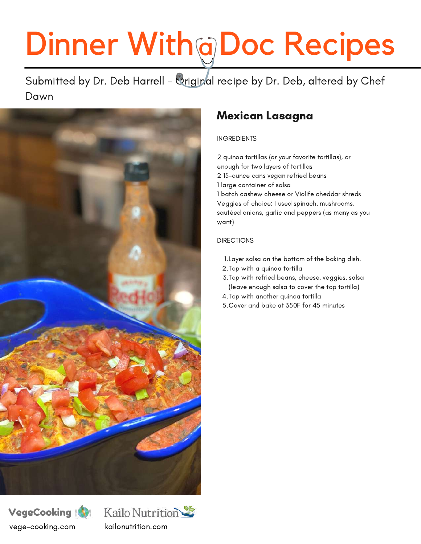# Dinner With@Doc Recipes

Submitted by Dr. Deb Harrell - Original recipe by Dr. Deb, altered by Chef Dawn



### VegeCooking vege-cooking.com kailonutrition.com



### Mexican Lasagna

### INGREDIENTS

2 quinoa tortillas (or your favorite tortillas), or enough for two layers of tortillas 2 15-ounce cans vegan refried beans 1 large container of salsa 1 batch cashew cheese or Violife cheddar shreds Veggies of choice: I used spinach, mushrooms, sautéed onions, garlic and peppers (as many as you want)

### DIRECTIONS

- Layer salsa on the bottom of the baking dish. 1.
- 2.Top with a quinoa tortilla
- Top with refried beans, cheese, veggies, salsa 3. (leave enough salsa to cover the top tortilla)
- 4.Top with another quinoa tortilla
- Cover and bake at 350F for 45 minutes 5.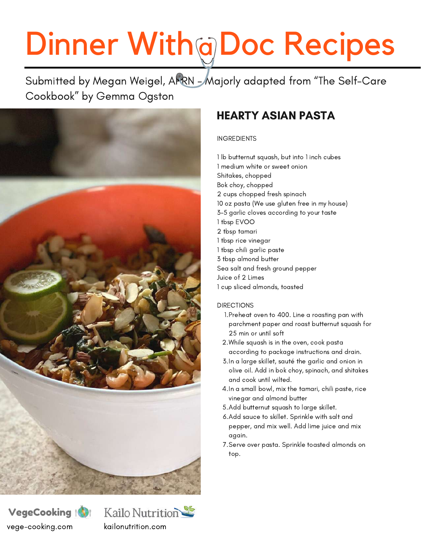# Dinner With a Doc Recipes

Submitted by Megan Weigel, APRN - Majorly adapted from "The Self-Care Cookbook" by Gemma Ogston







## HEARTY ASIAN PASTA

### INGREDIENTS

 lb butternut squash, but into 1 inch cubes medium white or sweet onion Shitakes, chopped Bok choy, chopped cups chopped fresh spinach oz pasta (We use gluten free in my house) 3-5 garlic cloves according to your taste tbsp EVOO tbsp tamari tbsp rice vinegar tbsp chili garlic paste tbsp almond butter Sea salt and fresh ground pepper Juice of 2 Limes cup sliced almonds, toasted

#### **DIRECTIONS**

- 1.Preheat oven to 400. Line a roasting pan with parchment paper and roast butternut squash for 25 min or until soft
- While squash is in the oven, cook pasta 2. according to package instructions and drain.
- 3. In a large skillet, sauté the garlic and onion in olive oil. Add in bok choy, spinach, and shitakes and cook until wilted.
- 4.In a small bowl, mix the tamari, chili paste, rice vinegar and almond butter
- Add butternut squash to large skillet. 5.
- 6. Add sauce to skillet. Sprinkle with salt and pepper, and mix well. Add lime juice and mix again.
- 7. Serve over pasta. Sprinkle toasted almonds on top.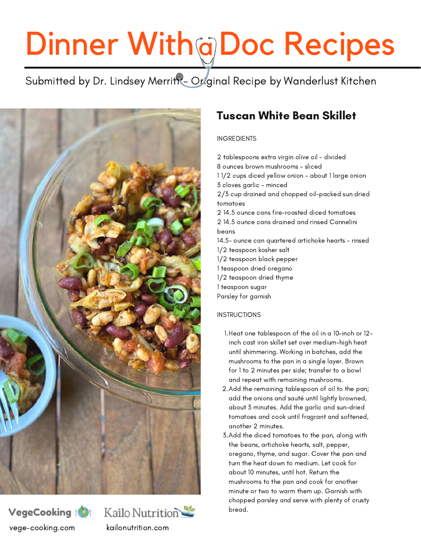# Dinner With@Doc Recipes

Submitted by Dr. Lindsey Merritt - Original Recipe by Wanderlust Kitchen







### Tuscan White Bean Skillet

### INGREDIENTS

2 tablespoons extra virgin olive oil - divided 8 ounces brown mushrooms - sliced 1 1/2 cups diced yellow onion - about 1 large onion 3 cloves garlic - minced 2/3 cup drained and chopped oil-packed sun dried tomatoes 2 14.5 ounce cans fire-roasted diced tomatoes 2 14.5 ounce cans drained and rinsed Cannelini beans 14.5- ounce can quartered artichoke hearts - rinsed 1/2 teaspoon kosher salt 1/2 teaspoon black pepper 1 teaspoon dried oregano 1/2 teaspoon dried thyme 1 teaspoon sugar Parsley for garnish

### **INSTRUCTIONS**

- Heat one tablespoon of the oil in a 10-inch or 12- 1. inch cast iron skillet set over medium-high heat until shimmering. Working in batches, add the mushrooms to the pan in a single layer. Brown for 1 to 2 minutes per side; transfer to a bowl and repeat with remaining mushrooms.
- Add the remaining tablespoon of oil to the pan; 2. add the onions and sauté until lightly browned, about 3 minutes. Add the garlic and sun-dried tomatoes and cook until fragrant and softened, another 2 minutes.
- Add the diced tomatoes to the pan, along with 3. the beans, artichoke hearts, salt, pepper, oregano, thyme, and sugar. Cover the pan and turn the heat down to medium. Let cook for about 10 minutes, until hot. Return the mushrooms to the pan and cook for another minute or two to warm them up. Garnish with chopped parsley and serve with plenty of crusty bread.